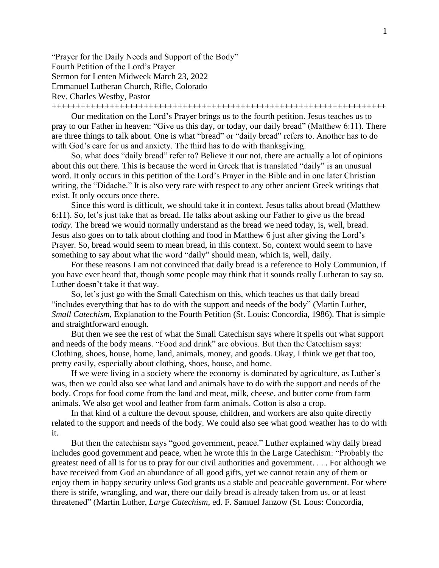"Prayer for the Daily Needs and Support of the Body" Fourth Petition of the Lord's Prayer Sermon for Lenten Midweek March 23, 2022 Emmanuel Lutheran Church, Rifle, Colorado Rev. Charles Westby, Pastor

+++++++++++++++++++++++++++++++++++++++++++++++++++++++++++++++++++++

Our meditation on the Lord's Prayer brings us to the fourth petition. Jesus teaches us to pray to our Father in heaven: "Give us this day, or today, our daily bread" (Matthew 6:11). There are three things to talk about. One is what "bread" or "daily bread" refers to. Another has to do with God's care for us and anxiety. The third has to do with thanksgiving.

So, what does "daily bread" refer to? Believe it our not, there are actually a lot of opinions about this out there. This is because the word in Greek that is translated "daily" is an unusual word. It only occurs in this petition of the Lord's Prayer in the Bible and in one later Christian writing, the "Didache." It is also very rare with respect to any other ancient Greek writings that exist. It only occurs once there.

Since this word is difficult, we should take it in context. Jesus talks about bread (Matthew 6:11). So, let's just take that as bread. He talks about asking our Father to give us the bread *today*. The bread we would normally understand as the bread we need today, is, well, bread. Jesus also goes on to talk about clothing and food in Matthew 6 just after giving the Lord's Prayer. So, bread would seem to mean bread, in this context. So, context would seem to have something to say about what the word "daily" should mean, which is, well, daily.

For these reasons I am not convinced that daily bread is a reference to Holy Communion, if you have ever heard that, though some people may think that it sounds really Lutheran to say so. Luther doesn't take it that way.

So, let's just go with the Small Catechism on this, which teaches us that daily bread "includes everything that has to do with the support and needs of the body" (Martin Luther, *Small Catechism*, Explanation to the Fourth Petition (St. Louis: Concordia, 1986). That is simple and straightforward enough.

But then we see the rest of what the Small Catechism says where it spells out what support and needs of the body means. "Food and drink" are obvious. But then the Catechism says: Clothing, shoes, house, home, land, animals, money, and goods. Okay, I think we get that too, pretty easily, especially about clothing, shoes, house, and home.

If we were living in a society where the economy is dominated by agriculture, as Luther's was, then we could also see what land and animals have to do with the support and needs of the body. Crops for food come from the land and meat, milk, cheese, and butter come from farm animals. We also get wool and leather from farm animals. Cotton is also a crop.

In that kind of a culture the devout spouse, children, and workers are also quite directly related to the support and needs of the body. We could also see what good weather has to do with it.

But then the catechism says "good government, peace." Luther explained why daily bread includes good government and peace, when he wrote this in the Large Catechism: "Probably the greatest need of all is for us to pray for our civil authorities and government. . . . For although we have received from God an abundance of all good gifts, yet we cannot retain any of them or enjoy them in happy security unless God grants us a stable and peaceable government. For where there is strife, wrangling, and war, there our daily bread is already taken from us, or at least threatened" (Martin Luther, *Large Catechism*, ed. F. Samuel Janzow (St. Lous: Concordia,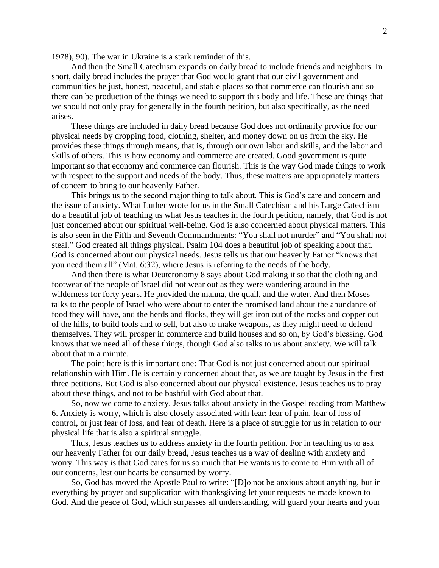1978), 90). The war in Ukraine is a stark reminder of this.

And then the Small Catechism expands on daily bread to include friends and neighbors. In short, daily bread includes the prayer that God would grant that our civil government and communities be just, honest, peaceful, and stable places so that commerce can flourish and so there can be production of the things we need to support this body and life. These are things that we should not only pray for generally in the fourth petition, but also specifically, as the need arises.

These things are included in daily bread because God does not ordinarily provide for our physical needs by dropping food, clothing, shelter, and money down on us from the sky. He provides these things through means, that is, through our own labor and skills, and the labor and skills of others. This is how economy and commerce are created. Good government is quite important so that economy and commerce can flourish. This is the way God made things to work with respect to the support and needs of the body. Thus, these matters are appropriately matters of concern to bring to our heavenly Father.

This brings us to the second major thing to talk about. This is God's care and concern and the issue of anxiety. What Luther wrote for us in the Small Catechism and his Large Catechism do a beautiful job of teaching us what Jesus teaches in the fourth petition, namely, that God is not just concerned about our spiritual well-being. God is also concerned about physical matters. This is also seen in the Fifth and Seventh Commandments: "You shall not murder" and "You shall not steal." God created all things physical. Psalm 104 does a beautiful job of speaking about that. God is concerned about our physical needs. Jesus tells us that our heavenly Father "knows that you need them all" (Mat. 6:32), where Jesus is referring to the needs of the body.

And then there is what Deuteronomy 8 says about God making it so that the clothing and footwear of the people of Israel did not wear out as they were wandering around in the wilderness for forty years. He provided the manna, the quail, and the water. And then Moses talks to the people of Israel who were about to enter the promised land about the abundance of food they will have, and the herds and flocks, they will get iron out of the rocks and copper out of the hills, to build tools and to sell, but also to make weapons, as they might need to defend themselves. They will prosper in commerce and build houses and so on, by God's blessing. God knows that we need all of these things, though God also talks to us about anxiety. We will talk about that in a minute.

The point here is this important one: That God is not just concerned about our spiritual relationship with Him. He is certainly concerned about that, as we are taught by Jesus in the first three petitions. But God is also concerned about our physical existence. Jesus teaches us to pray about these things, and not to be bashful with God about that.

So, now we come to anxiety. Jesus talks about anxiety in the Gospel reading from Matthew 6. Anxiety is worry, which is also closely associated with fear: fear of pain, fear of loss of control, or just fear of loss, and fear of death. Here is a place of struggle for us in relation to our physical life that is also a spiritual struggle.

Thus, Jesus teaches us to address anxiety in the fourth petition. For in teaching us to ask our heavenly Father for our daily bread, Jesus teaches us a way of dealing with anxiety and worry. This way is that God cares for us so much that He wants us to come to Him with all of our concerns, lest our hearts be consumed by worry.

So, God has moved the Apostle Paul to write: "[D]o not be anxious about anything, but in everything by prayer and supplication with thanksgiving let your requests be made known to God. And the peace of God, which surpasses all understanding, will guard your hearts and your